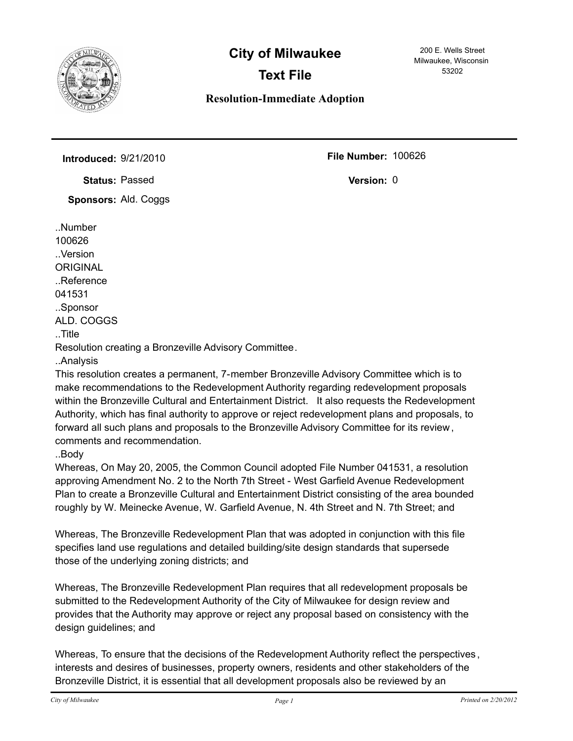

## **City of Milwaukee**

## **Text File**

**Resolution-Immediate Adoption**

200 E. Wells Street Milwaukee, Wisconsin 53202

**Introduced:** 9/21/2010 **100626 File Number:** 100626

**Status: Passed** 

**Sponsors:** Ald. Coggs

..Number 100626 ..Version **ORIGINAL** ..Reference 041531 ..Sponsor ALD. COGGS ..Title Resolution creating a Bronzeville Advisory Committee. ..Analysis

This resolution creates a permanent, 7-member Bronzeville Advisory Committee which is to make recommendations to the Redevelopment Authority regarding redevelopment proposals within the Bronzeville Cultural and Entertainment District. It also requests the Redevelopment Authority, which has final authority to approve or reject redevelopment plans and proposals, to forward all such plans and proposals to the Bronzeville Advisory Committee for its review, comments and recommendation.

..Body

Whereas, On May 20, 2005, the Common Council adopted File Number 041531, a resolution approving Amendment No. 2 to the North 7th Street - West Garfield Avenue Redevelopment Plan to create a Bronzeville Cultural and Entertainment District consisting of the area bounded roughly by W. Meinecke Avenue, W. Garfield Avenue, N. 4th Street and N. 7th Street; and

Whereas, The Bronzeville Redevelopment Plan that was adopted in conjunction with this file specifies land use regulations and detailed building/site design standards that supersede those of the underlying zoning districts; and

Whereas, The Bronzeville Redevelopment Plan requires that all redevelopment proposals be submitted to the Redevelopment Authority of the City of Milwaukee for design review and provides that the Authority may approve or reject any proposal based on consistency with the design guidelines; and

Whereas, To ensure that the decisions of the Redevelopment Authority reflect the perspectives , interests and desires of businesses, property owners, residents and other stakeholders of the Bronzeville District, it is essential that all development proposals also be reviewed by an

Version: 0